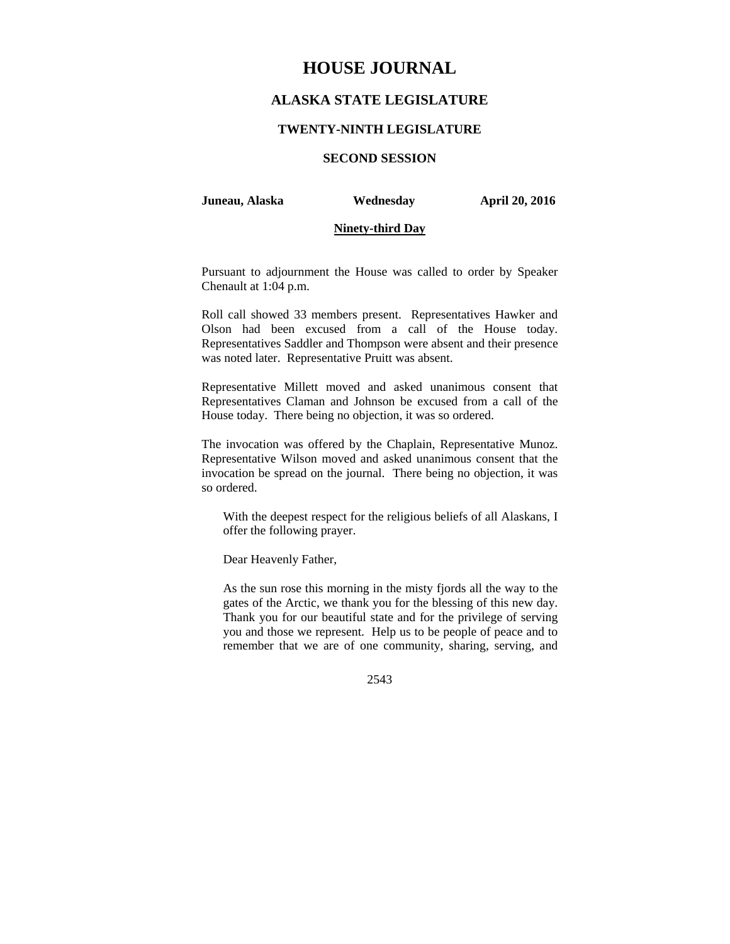# **HOUSE JOURNAL**

## **ALASKA STATE LEGISLATURE**

#### **TWENTY-NINTH LEGISLATURE**

## **SECOND SESSION**

#### **Juneau, Alaska Wednesday April 20, 2016**

#### **Ninety-third Day**

Pursuant to adjournment the House was called to order by Speaker Chenault at 1:04 p.m.

Roll call showed 33 members present. Representatives Hawker and Olson had been excused from a call of the House today. Representatives Saddler and Thompson were absent and their presence was noted later. Representative Pruitt was absent.

Representative Millett moved and asked unanimous consent that Representatives Claman and Johnson be excused from a call of the House today. There being no objection, it was so ordered.

The invocation was offered by the Chaplain, Representative Munoz. Representative Wilson moved and asked unanimous consent that the invocation be spread on the journal. There being no objection, it was so ordered.

With the deepest respect for the religious beliefs of all Alaskans, I offer the following prayer.

Dear Heavenly Father,

As the sun rose this morning in the misty fjords all the way to the gates of the Arctic, we thank you for the blessing of this new day. Thank you for our beautiful state and for the privilege of serving you and those we represent. Help us to be people of peace and to remember that we are of one community, sharing, serving, and

2543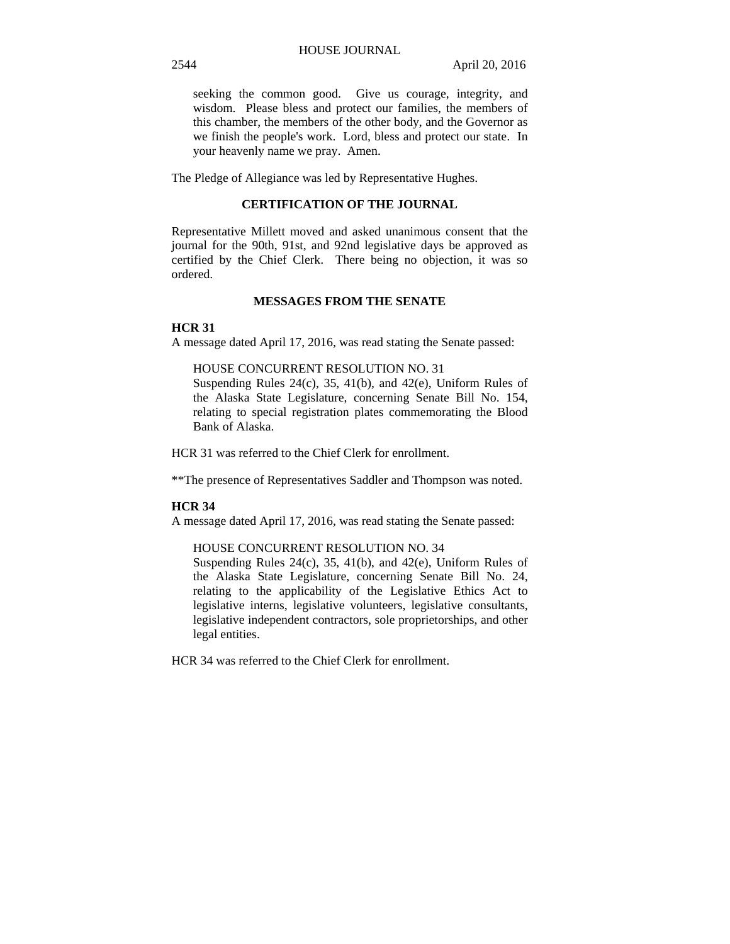seeking the common good. Give us courage, integrity, and wisdom. Please bless and protect our families, the members of this chamber, the members of the other body, and the Governor as we finish the people's work. Lord, bless and protect our state. In your heavenly name we pray. Amen.

The Pledge of Allegiance was led by Representative Hughes.

## **CERTIFICATION OF THE JOURNAL**

Representative Millett moved and asked unanimous consent that the journal for the 90th, 91st, and 92nd legislative days be approved as certified by the Chief Clerk. There being no objection, it was so ordered.

## **MESSAGES FROM THE SENATE**

#### **HCR 31**

A message dated April 17, 2016, was read stating the Senate passed:

### HOUSE CONCURRENT RESOLUTION NO. 31

Suspending Rules 24(c), 35, 41(b), and 42(e), Uniform Rules of the Alaska State Legislature, concerning Senate Bill No. 154, relating to special registration plates commemorating the Blood Bank of Alaska.

HCR 31 was referred to the Chief Clerk for enrollment.

\*\*The presence of Representatives Saddler and Thompson was noted.

#### **HCR 34**

A message dated April 17, 2016, was read stating the Senate passed:

#### HOUSE CONCURRENT RESOLUTION NO. 34

Suspending Rules  $24(c)$ ,  $35$ ,  $41(b)$ , and  $42(e)$ , Uniform Rules of the Alaska State Legislature, concerning Senate Bill No. 24, relating to the applicability of the Legislative Ethics Act to legislative interns, legislative volunteers, legislative consultants, legislative independent contractors, sole proprietorships, and other legal entities.

HCR 34 was referred to the Chief Clerk for enrollment.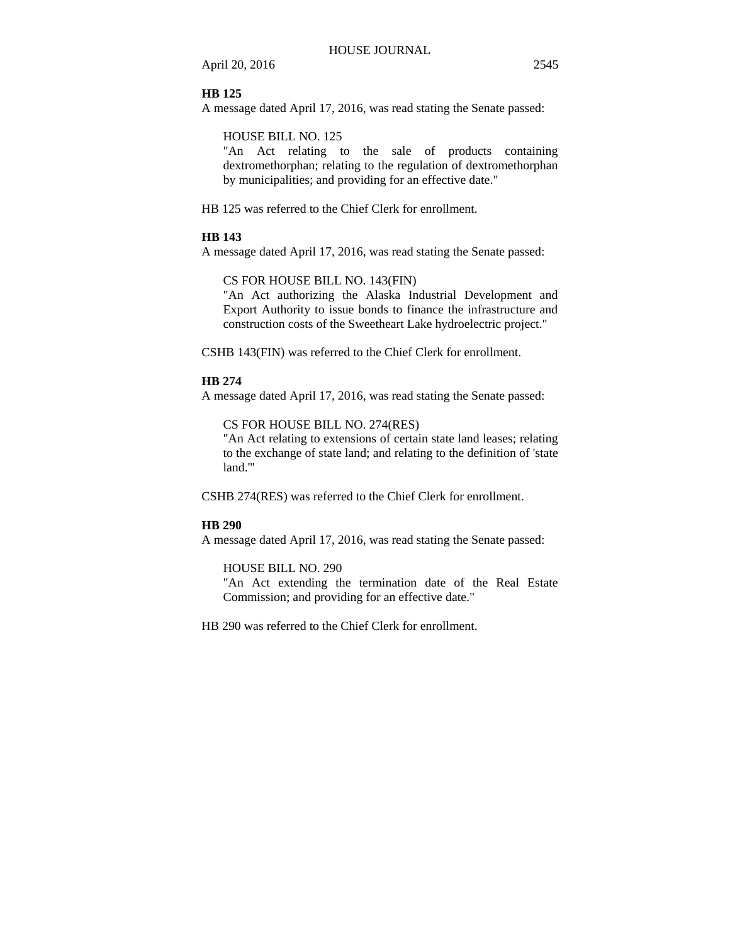April 20, 2016 2545

#### **HB 125**

A message dated April 17, 2016, was read stating the Senate passed:

## HOUSE BILL NO. 125

"An Act relating to the sale of products containing dextromethorphan; relating to the regulation of dextromethorphan by municipalities; and providing for an effective date."

HB 125 was referred to the Chief Clerk for enrollment.

## **HB 143**

A message dated April 17, 2016, was read stating the Senate passed:

## CS FOR HOUSE BILL NO. 143(FIN)

"An Act authorizing the Alaska Industrial Development and Export Authority to issue bonds to finance the infrastructure and construction costs of the Sweetheart Lake hydroelectric project."

CSHB 143(FIN) was referred to the Chief Clerk for enrollment.

#### **HB 274**

A message dated April 17, 2016, was read stating the Senate passed:

CS FOR HOUSE BILL NO. 274(RES)

"An Act relating to extensions of certain state land leases; relating to the exchange of state land; and relating to the definition of 'state land.'"

CSHB 274(RES) was referred to the Chief Clerk for enrollment.

#### **HB 290**

A message dated April 17, 2016, was read stating the Senate passed:

#### HOUSE BILL NO. 290

"An Act extending the termination date of the Real Estate Commission; and providing for an effective date."

HB 290 was referred to the Chief Clerk for enrollment.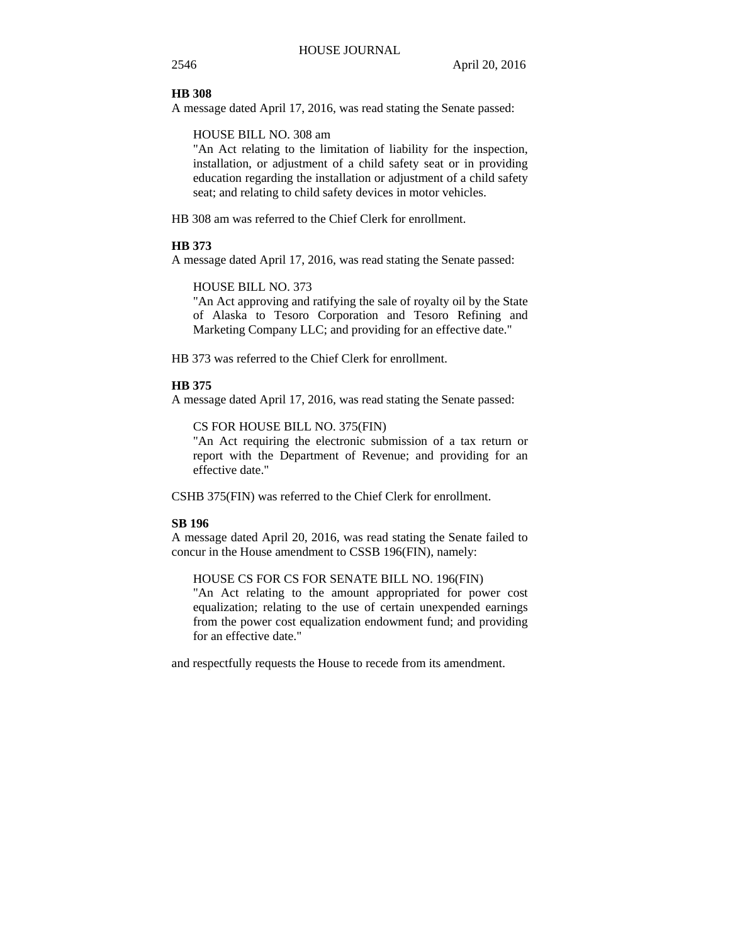#### **HB 308**

A message dated April 17, 2016, was read stating the Senate passed:

HOUSE BILL NO. 308 am

"An Act relating to the limitation of liability for the inspection, installation, or adjustment of a child safety seat or in providing education regarding the installation or adjustment of a child safety seat; and relating to child safety devices in motor vehicles.

HB 308 am was referred to the Chief Clerk for enrollment.

#### **HB 373**

A message dated April 17, 2016, was read stating the Senate passed:

HOUSE BILL NO. 373

"An Act approving and ratifying the sale of royalty oil by the State of Alaska to Tesoro Corporation and Tesoro Refining and Marketing Company LLC; and providing for an effective date."

HB 373 was referred to the Chief Clerk for enrollment.

#### **HB 375**

A message dated April 17, 2016, was read stating the Senate passed:

CS FOR HOUSE BILL NO. 375(FIN)

"An Act requiring the electronic submission of a tax return or report with the Department of Revenue; and providing for an effective date."

CSHB 375(FIN) was referred to the Chief Clerk for enrollment.

#### **SB 196**

A message dated April 20, 2016, was read stating the Senate failed to concur in the House amendment to CSSB 196(FIN), namely:

HOUSE CS FOR CS FOR SENATE BILL NO. 196(FIN)

"An Act relating to the amount appropriated for power cost equalization; relating to the use of certain unexpended earnings from the power cost equalization endowment fund; and providing for an effective date."

and respectfully requests the House to recede from its amendment.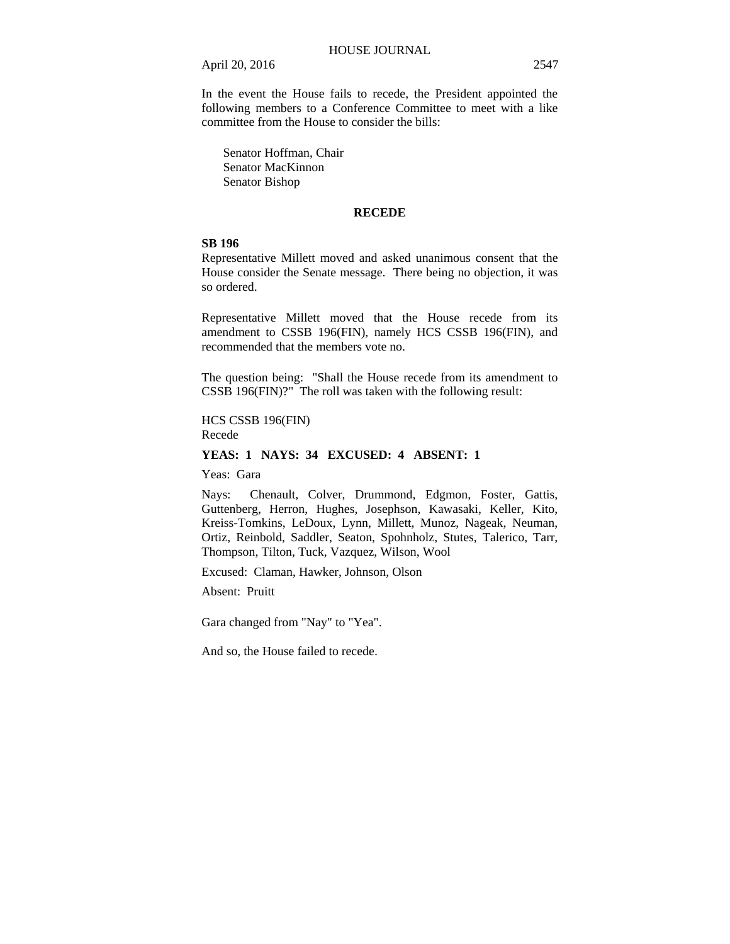April 20, 2016 2547

In the event the House fails to recede, the President appointed the following members to a Conference Committee to meet with a like committee from the House to consider the bills:

 Senator Hoffman, Chair Senator MacKinnon Senator Bishop

#### **RECEDE**

## **SB 196**

Representative Millett moved and asked unanimous consent that the House consider the Senate message. There being no objection, it was so ordered.

Representative Millett moved that the House recede from its amendment to CSSB 196(FIN), namely HCS CSSB 196(FIN), and recommended that the members vote no.

The question being: "Shall the House recede from its amendment to CSSB 196(FIN)?" The roll was taken with the following result:

HCS CSSB 196(FIN) Recede

## **YEAS: 1 NAYS: 34 EXCUSED: 4 ABSENT: 1**

Yeas: Gara

Nays: Chenault, Colver, Drummond, Edgmon, Foster, Gattis, Guttenberg, Herron, Hughes, Josephson, Kawasaki, Keller, Kito, Kreiss-Tomkins, LeDoux, Lynn, Millett, Munoz, Nageak, Neuman, Ortiz, Reinbold, Saddler, Seaton, Spohnholz, Stutes, Talerico, Tarr, Thompson, Tilton, Tuck, Vazquez, Wilson, Wool

Excused: Claman, Hawker, Johnson, Olson

Absent: Pruitt

Gara changed from "Nay" to "Yea".

And so, the House failed to recede.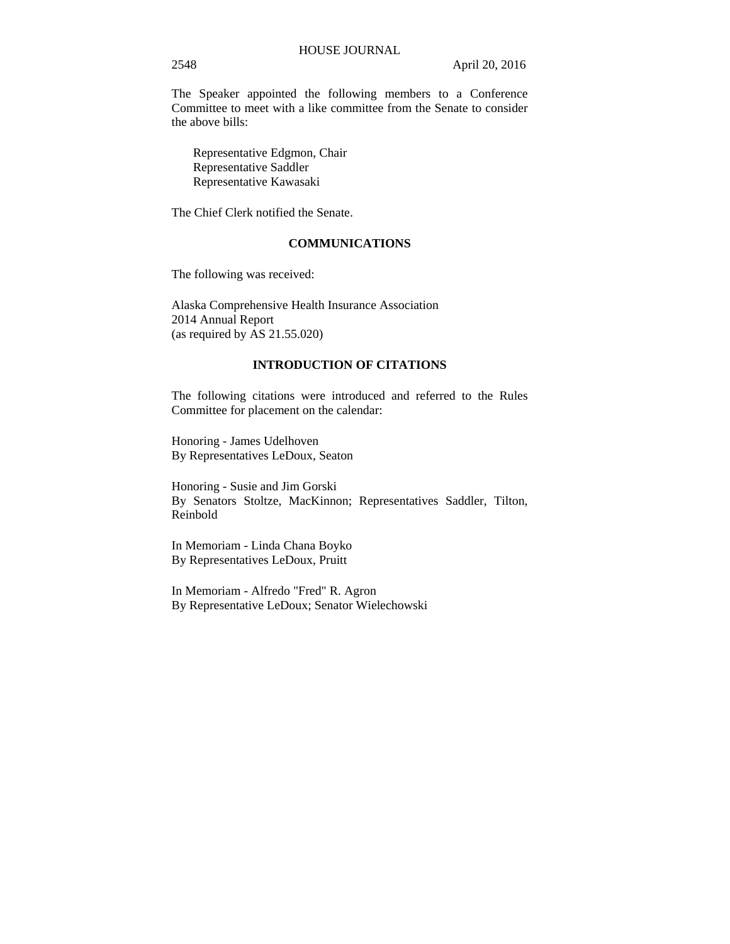The Speaker appointed the following members to a Conference Committee to meet with a like committee from the Senate to consider the above bills:

Representative Edgmon, Chair Representative Saddler Representative Kawasaki

The Chief Clerk notified the Senate.

## **COMMUNICATIONS**

The following was received:

Alaska Comprehensive Health Insurance Association 2014 Annual Report (as required by AS 21.55.020)

#### **INTRODUCTION OF CITATIONS**

The following citations were introduced and referred to the Rules Committee for placement on the calendar:

Honoring - James Udelhoven By Representatives LeDoux, Seaton

Honoring - Susie and Jim Gorski By Senators Stoltze, MacKinnon; Representatives Saddler, Tilton, Reinbold

In Memoriam - Linda Chana Boyko By Representatives LeDoux, Pruitt

In Memoriam - Alfredo "Fred" R. Agron By Representative LeDoux; Senator Wielechowski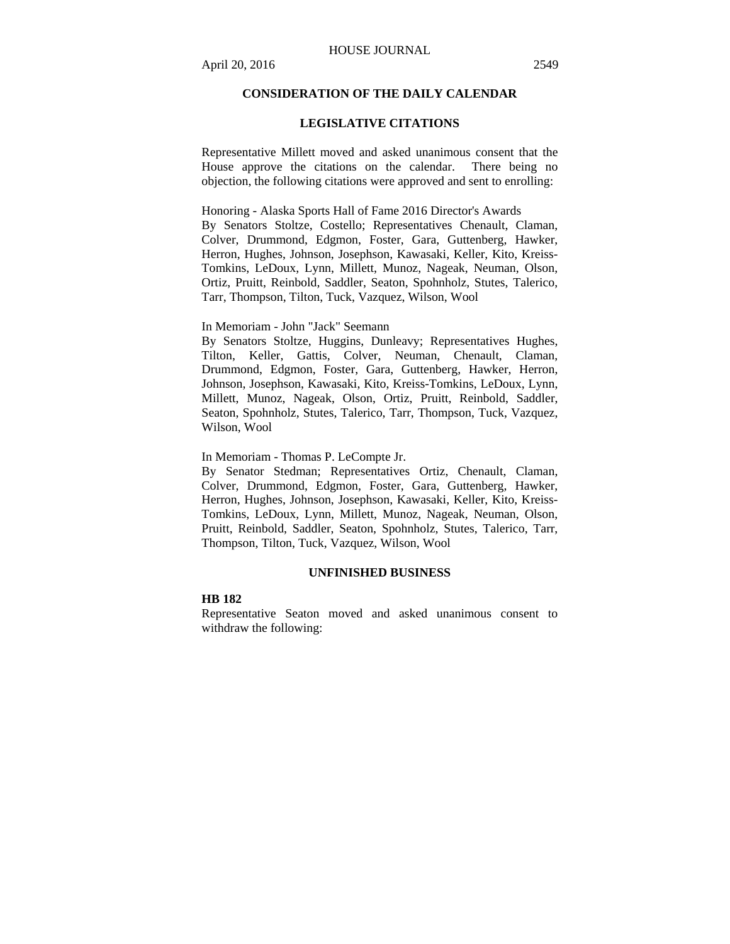## **CONSIDERATION OF THE DAILY CALENDAR**

#### **LEGISLATIVE CITATIONS**

Representative Millett moved and asked unanimous consent that the House approve the citations on the calendar. There being no objection, the following citations were approved and sent to enrolling:

Honoring - Alaska Sports Hall of Fame 2016 Director's Awards

By Senators Stoltze, Costello; Representatives Chenault, Claman, Colver, Drummond, Edgmon, Foster, Gara, Guttenberg, Hawker, Herron, Hughes, Johnson, Josephson, Kawasaki, Keller, Kito, Kreiss-Tomkins, LeDoux, Lynn, Millett, Munoz, Nageak, Neuman, Olson, Ortiz, Pruitt, Reinbold, Saddler, Seaton, Spohnholz, Stutes, Talerico, Tarr, Thompson, Tilton, Tuck, Vazquez, Wilson, Wool

In Memoriam - John "Jack" Seemann

By Senators Stoltze, Huggins, Dunleavy; Representatives Hughes, Tilton, Keller, Gattis, Colver, Neuman, Chenault, Claman, Drummond, Edgmon, Foster, Gara, Guttenberg, Hawker, Herron, Johnson, Josephson, Kawasaki, Kito, Kreiss-Tomkins, LeDoux, Lynn, Millett, Munoz, Nageak, Olson, Ortiz, Pruitt, Reinbold, Saddler, Seaton, Spohnholz, Stutes, Talerico, Tarr, Thompson, Tuck, Vazquez, Wilson, Wool

In Memoriam - Thomas P. LeCompte Jr.

By Senator Stedman; Representatives Ortiz, Chenault, Claman, Colver, Drummond, Edgmon, Foster, Gara, Guttenberg, Hawker, Herron, Hughes, Johnson, Josephson, Kawasaki, Keller, Kito, Kreiss-Tomkins, LeDoux, Lynn, Millett, Munoz, Nageak, Neuman, Olson, Pruitt, Reinbold, Saddler, Seaton, Spohnholz, Stutes, Talerico, Tarr, Thompson, Tilton, Tuck, Vazquez, Wilson, Wool

#### **UNFINISHED BUSINESS**

#### **HB 182**

Representative Seaton moved and asked unanimous consent to withdraw the following: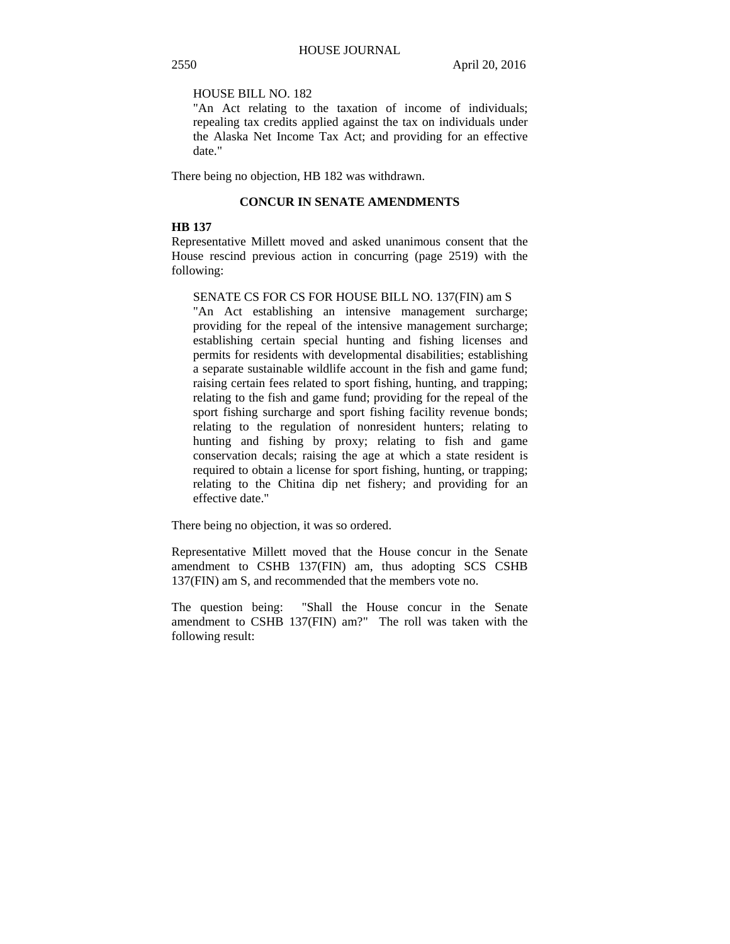## HOUSE BILL NO. 182

"An Act relating to the taxation of income of individuals; repealing tax credits applied against the tax on individuals under the Alaska Net Income Tax Act; and providing for an effective date."

There being no objection, HB 182 was withdrawn.

#### **CONCUR IN SENATE AMENDMENTS**

#### **HB 137**

Representative Millett moved and asked unanimous consent that the House rescind previous action in concurring (page 2519) with the following:

#### SENATE CS FOR CS FOR HOUSE BILL NO. 137(FIN) am S

"An Act establishing an intensive management surcharge; providing for the repeal of the intensive management surcharge; establishing certain special hunting and fishing licenses and permits for residents with developmental disabilities; establishing a separate sustainable wildlife account in the fish and game fund; raising certain fees related to sport fishing, hunting, and trapping; relating to the fish and game fund; providing for the repeal of the sport fishing surcharge and sport fishing facility revenue bonds; relating to the regulation of nonresident hunters; relating to hunting and fishing by proxy; relating to fish and game conservation decals; raising the age at which a state resident is required to obtain a license for sport fishing, hunting, or trapping; relating to the Chitina dip net fishery; and providing for an effective date."

There being no objection, it was so ordered.

Representative Millett moved that the House concur in the Senate amendment to CSHB 137(FIN) am, thus adopting SCS CSHB 137(FIN) am S, and recommended that the members vote no.

The question being: "Shall the House concur in the Senate amendment to CSHB 137(FIN) am?" The roll was taken with the following result: